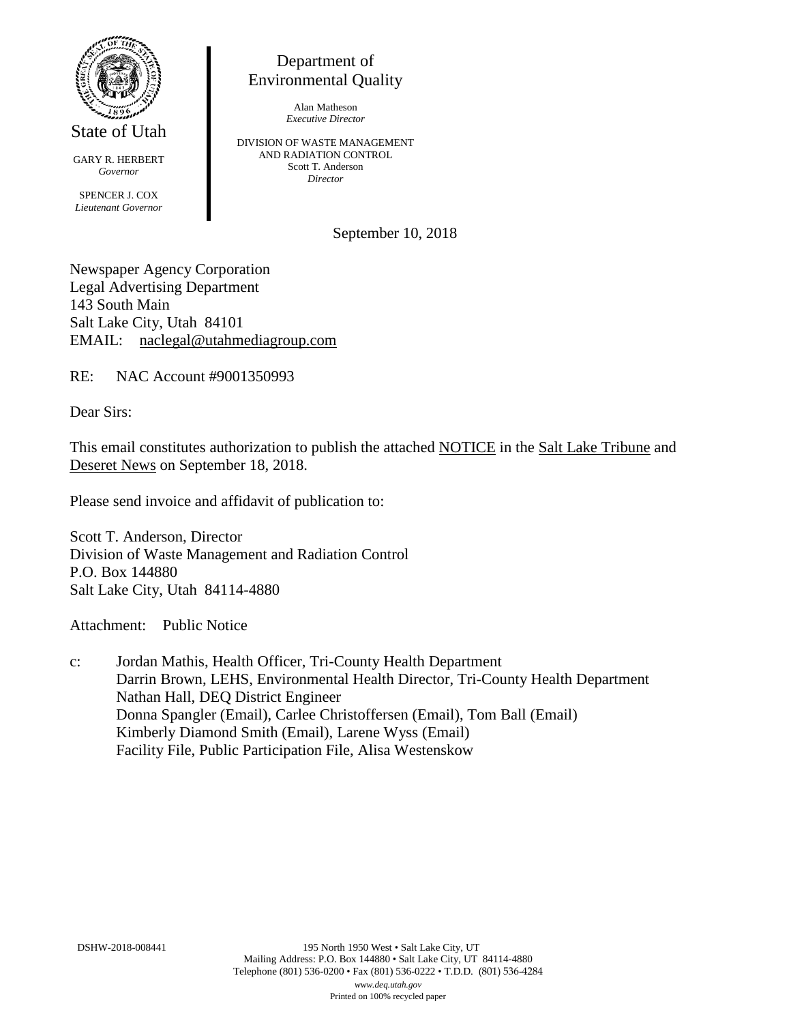

State of Utah

GARY R. HERBERT *Governor* SPENCER J. COX *Lieutenant Governor*

Department of Environmental Quality

> Alan Matheson *Executive Director*

DIVISION OF WASTE MANAGEMENT AND RADIATION CONTROL Scott T. Anderson *Director*

September 10, 2018

Newspaper Agency Corporation Legal Advertising Department 143 South Main Salt Lake City, Utah 84101 EMAIL: naclegal@utahmediagroup.com

RE: NAC Account #9001350993

Dear Sirs:

This email constitutes authorization to publish the attached NOTICE in the Salt Lake Tribune and Deseret News on September 18, 2018.

Please send invoice and affidavit of publication to:

Scott T. Anderson, Director Division of Waste Management and Radiation Control P.O. Box 144880 Salt Lake City, Utah 84114-4880

Attachment: Public Notice

c: Jordan Mathis, Health Officer, Tri-County Health Department Darrin Brown, LEHS, Environmental Health Director, Tri-County Health Department Nathan Hall, DEQ District Engineer Donna Spangler (Email), Carlee Christoffersen (Email), Tom Ball (Email) Kimberly Diamond Smith (Email), Larene Wyss (Email) Facility File, Public Participation File, Alisa Westenskow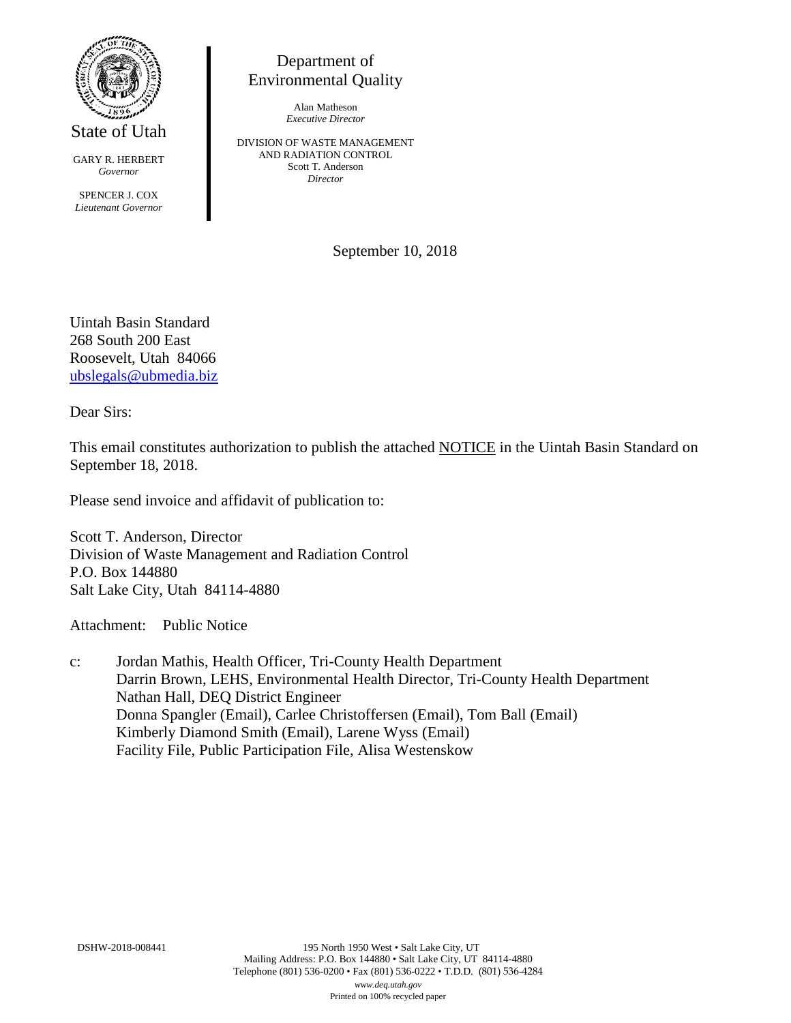

State of Utah

GARY R. HERBERT *Governor*

SPENCER J. COX *Lieutenant Governor*

Department of Environmental Quality

> Alan Matheson *Executive Director*

DIVISION OF WASTE MANAGEMENT AND RADIATION CONTROL Scott T. Anderson *Director*

September 10, 2018

Uintah Basin Standard 268 South 200 East Roosevelt, Utah 84066 [ubslegals@ubmedia.biz](mailto:ubslegals@ubmedia.biz)

Dear Sirs:

This email constitutes authorization to publish the attached NOTICE in the Uintah Basin Standard on September 18, 2018.

Please send invoice and affidavit of publication to:

Scott T. Anderson, Director Division of Waste Management and Radiation Control P.O. Box 144880 Salt Lake City, Utah 84114-4880

Attachment: Public Notice

c: Jordan Mathis, Health Officer, Tri-County Health Department Darrin Brown, LEHS, Environmental Health Director, Tri-County Health Department Nathan Hall, DEQ District Engineer Donna Spangler (Email), Carlee Christoffersen (Email), Tom Ball (Email) Kimberly Diamond Smith (Email), Larene Wyss (Email) Facility File, Public Participation File, Alisa Westenskow